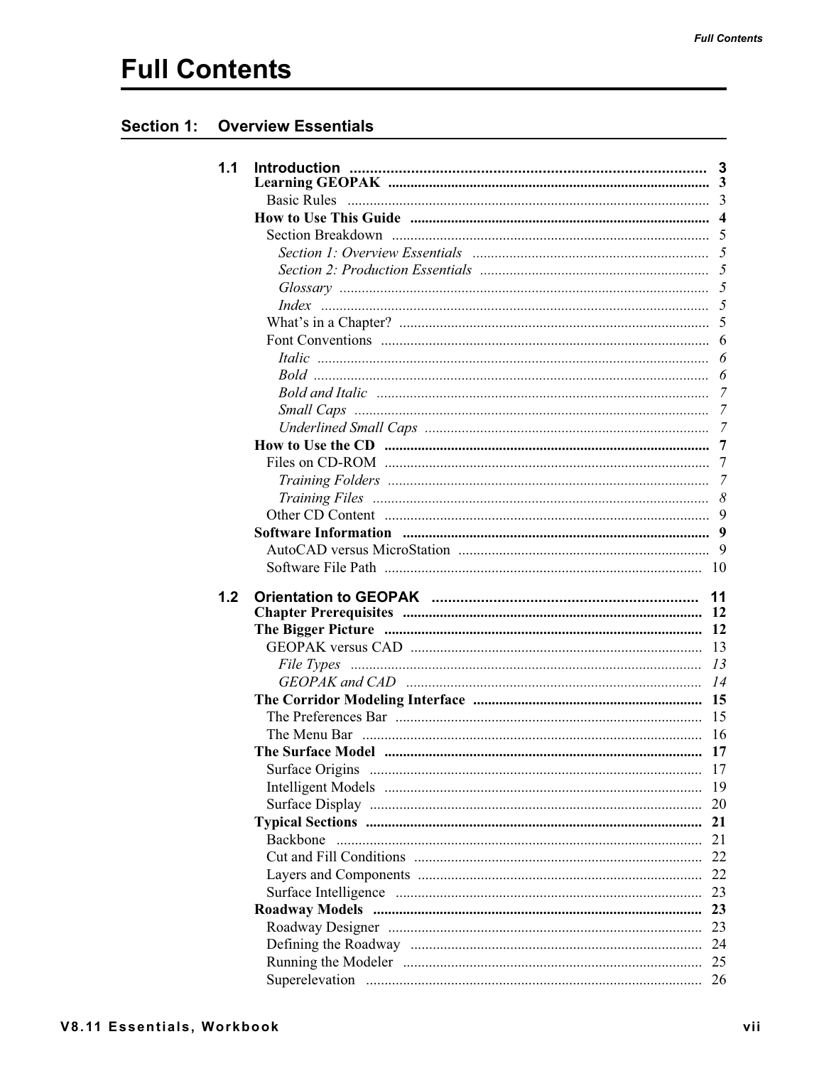## **Full Contents**

## **Section 1: Overview Essentials**

| 1.1 |              |                |
|-----|--------------|----------------|
|     |              |                |
|     |              | $\overline{4}$ |
|     |              | 5              |
|     |              |                |
|     |              |                |
|     |              | 5              |
|     |              |                |
|     | <i>Index</i> |                |
|     |              |                |
|     |              | 6              |
|     |              | 6              |
|     |              | 6              |
|     |              | $\overline{7}$ |
|     |              | 7              |
|     |              |                |
|     |              | $\overline{7}$ |
|     |              | 7              |
|     |              | 7              |
|     |              | 8              |
|     |              |                |
|     |              | 9              |
|     |              | 9              |
|     |              |                |
| 1.2 |              | 11             |
|     |              | 12             |
|     |              | 12             |
|     |              | 13             |
|     |              | 13             |
|     |              | 14             |
|     |              |                |
|     |              | 15             |
|     |              | -16            |
|     |              |                |
|     |              | 17             |
|     |              | 19             |
|     |              | 20             |
|     |              | 21             |
|     | Backbone     | 21             |
|     |              | 22             |
|     |              | 22             |
|     |              | 23             |
|     |              | 23             |
|     |              | 23             |
|     |              | 24             |
|     |              | 25             |
|     |              | 26             |
|     |              |                |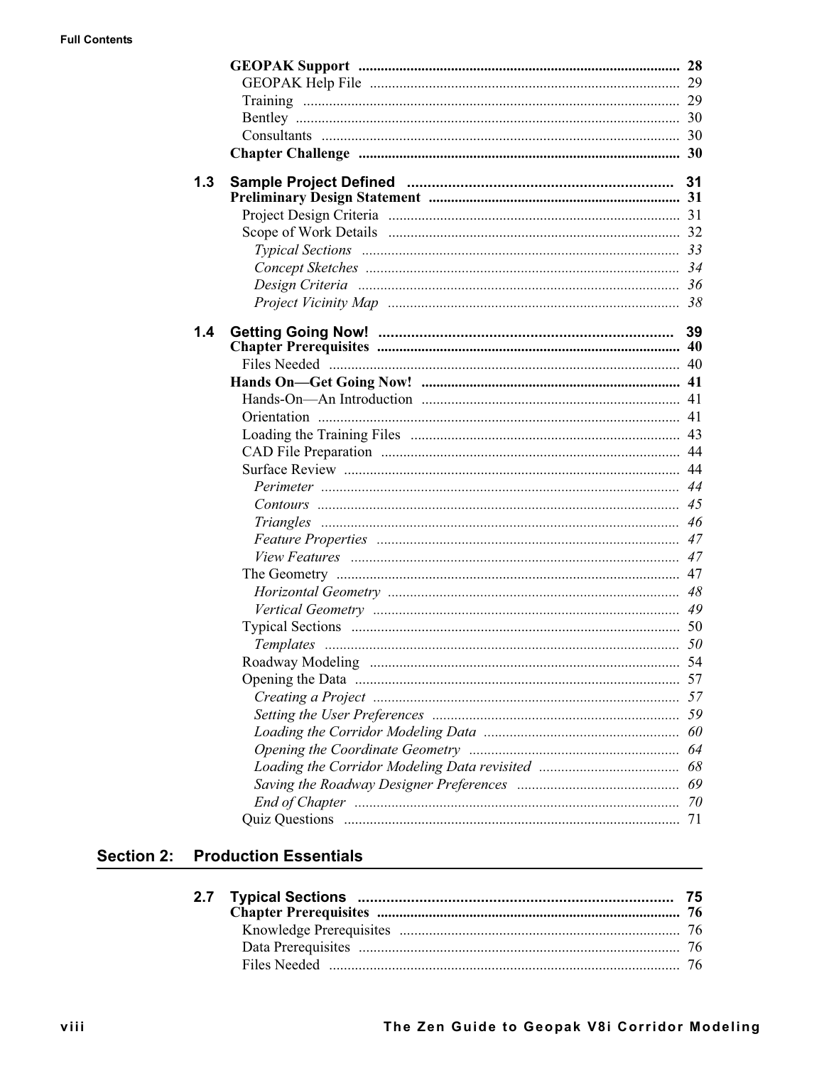|     | GEOPAK Support minimuminimuminimuminimuminimuminimuminimum 28 |    |
|-----|---------------------------------------------------------------|----|
|     |                                                               |    |
|     |                                                               |    |
|     |                                                               |    |
|     |                                                               |    |
|     |                                                               |    |
| 1.3 |                                                               | 31 |
|     |                                                               |    |
|     |                                                               |    |
|     |                                                               |    |
|     |                                                               |    |
|     |                                                               |    |
|     |                                                               |    |
|     |                                                               |    |
| 1.4 |                                                               | 39 |
|     |                                                               |    |
|     |                                                               |    |
|     |                                                               |    |
|     |                                                               |    |
|     |                                                               |    |
|     |                                                               |    |
|     |                                                               |    |
|     |                                                               |    |
|     |                                                               |    |
|     |                                                               |    |
|     |                                                               |    |
|     |                                                               |    |
|     |                                                               |    |
|     |                                                               |    |
|     |                                                               |    |
|     |                                                               |    |
|     |                                                               |    |
|     |                                                               |    |
|     |                                                               |    |
|     |                                                               |    |
|     |                                                               |    |
|     |                                                               |    |
|     |                                                               |    |
|     |                                                               |    |
|     |                                                               |    |
|     |                                                               |    |
|     |                                                               |    |
|     |                                                               |    |

## **Section 2: Production Essentials**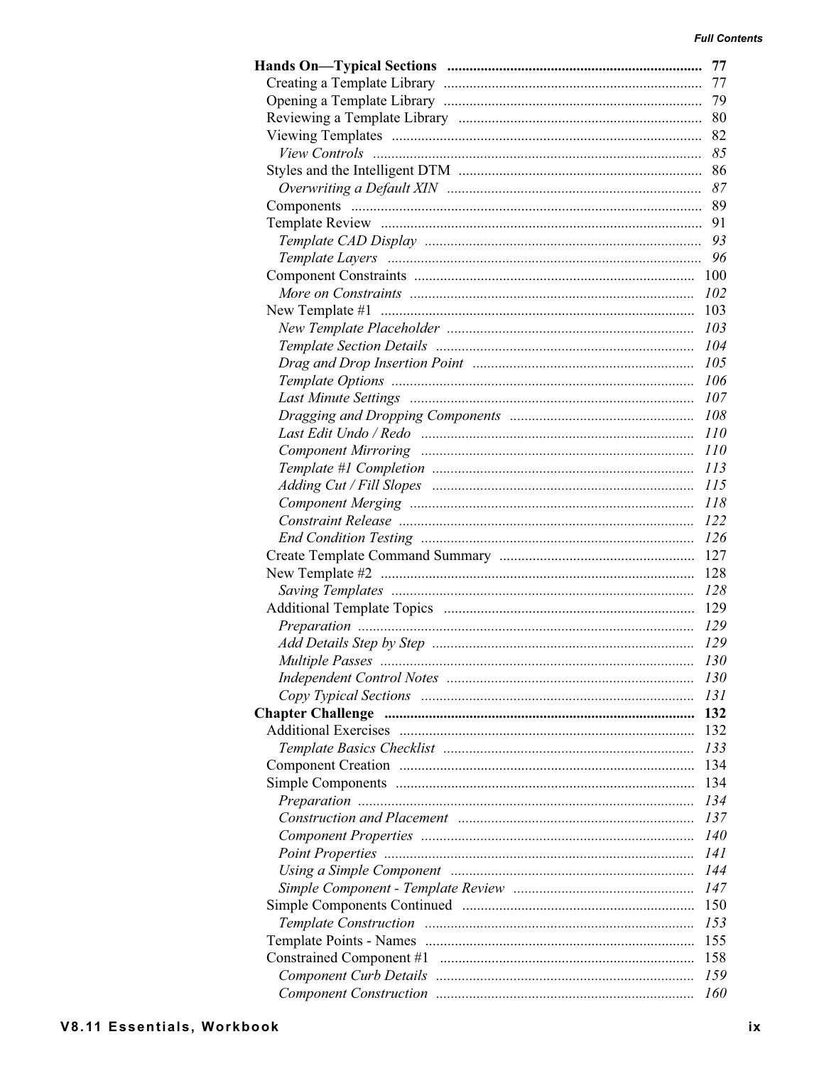| 77         |
|------------|
| 77         |
| 79         |
| 80         |
| 82         |
| 85         |
|            |
| 87         |
|            |
| 91         |
|            |
|            |
|            |
|            |
|            |
| 103        |
| 104        |
| 105        |
| 106        |
| -107       |
|            |
| <i>110</i> |
| <i>110</i> |
| <i>113</i> |
| <i>115</i> |
| 118        |
|            |
|            |
|            |
| 127        |
| 128        |
|            |
|            |
|            |
|            |
| <i>130</i> |
| 130        |
| 131        |
| 132        |
| 132        |
| 133        |
| 134        |
| 134        |
| 134        |
| 137        |
| <i>140</i> |
| 141        |
| 144        |
| 147        |
| 150        |
| 153        |
| 155        |
| 158        |
| 159        |
| 160        |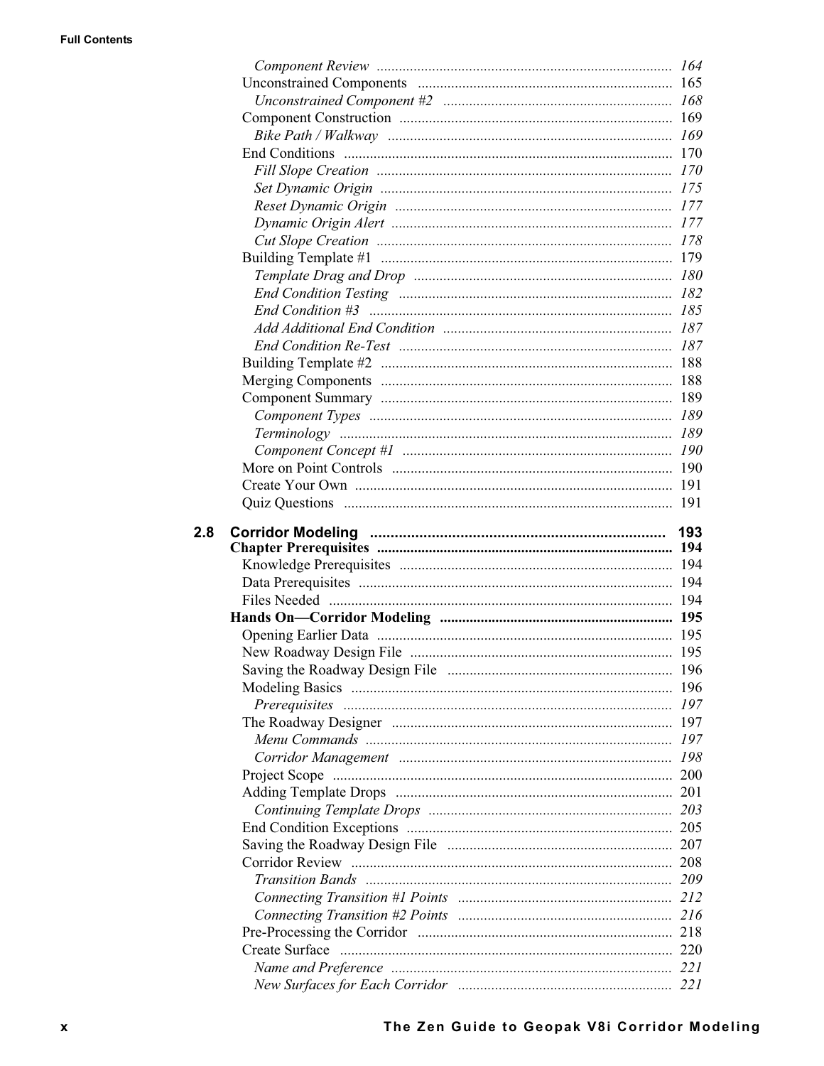$2.8$ 

| Create Surface |  |
|----------------|--|